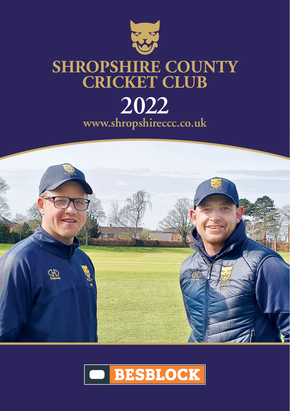



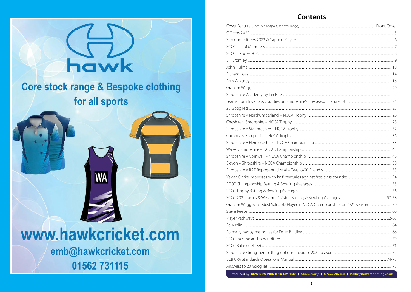

 $\mathcal{L}$  respectively and from his county, both professional from  $\mathcal{L}$ is in very very good hands with John at the helm.  $1.1 \times 101562731115$ 

*Toby Shaw*

## **Contents**

| Graham Wagg wins Most Valuable Player in NCCA Championship for 2021 season  59 |  |
|--------------------------------------------------------------------------------|--|
|                                                                                |  |
|                                                                                |  |
|                                                                                |  |
|                                                                                |  |
|                                                                                |  |
|                                                                                |  |
|                                                                                |  |
|                                                                                |  |
|                                                                                |  |

Produced by **nEW ERA PRINTING LIMITED |** Shrewsbury **| 01743 295 881 | hello**@**newera**printing.co.uk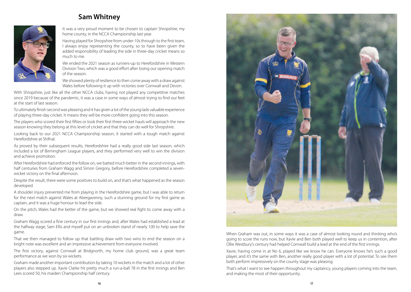## **Sam Whitney**



It was a very proud moment to be chosen to captain Shropshire, my home county, in the NCCA Championship last year.

Having played for Shropshire from under-10s through to the first team, I always enjoy representing the county, so to have been given the added responsibility of leading the side in three-day cricket means so much to me.

We ended the 2021 season as runners-up to Herefordshire in Western Division Two, which was a good effort after losing our opening match of the season.

We showed plenty of resilience to then come away with a draw against Wales before following it up with victories over Cornwall and Devon.

With Shropshire, just like all the other NCCA clubs, having not played any competitive matches since 2019 because of the pandemic, it was a case in some ways of almost trying to find our feet at the start of last season.

To ultimately finish second was pleasing and it has given a lot of the young lads valuable experience of playing three-day cricket. It means they will be more confident going into this season.

The players who scored their first fifties or took their first three-wicket hauls will approach the new season knowing they belong at this level of cricket and that they can do well for Shropshire.

Looking back to our 2021 NCCA Championship season, it started with a tough match against Herefordshire at Shifnal.

As proved by their subsequent results, Herefordshire had a really good side last season, which included a lot of Birmingham League players, and they performed very well to win the division and achieve promotion.

After Herefordshire had enforced the follow on, we batted much better in the second innings, with half centuries from Graham Wagg and Simon Gregory, before Herefordshire completed a sevenwicket victory on the final afternoon.

Despite the result, there were some positives to build on, and that's what happened as the season developed.

A shoulder injury prevented me from playing in the Herefordshire game, but I was able to return for the next match against Wales at Abergavenny, such a stunning ground for my first game as captain, and it was a huge honour to lead the side.

On the pitch, Wales had the better of the game, but we showed real fight to come away with a draw.

Graham Wagg scored a fine century in our first innings and, after Wales had established a lead at the halfway stage, Sam Ellis and myself put on an unbroken stand of nearly 100 to help save the game.

That we then managed to follow up that battling draw with two wins to end the season on a bright note was excellent and an impressive achievement from everyone involved.

The first victory, against Cornwall at Bridgnorth, my home club ground, was a great team performance as we won by six wickets.

Graham made another important contribution by taking 10 wickets in the match and a lot of other players also stepped up. Xavie Clarke hit pretty much a run-a-ball 78 in the first innings and Ben Lees scored 50, his maiden Championship half century.



When Graham was out, in some ways it was a case of almost looking round and thinking who's going to score the runs now, but Xavie and Ben both played well to keep us in contention, after Ollie Westbury's century had helped Cornwall build a lead at the end of the first innings.

Xavie, having come in at No 6, played like we know he can. Everyone knows he's such a good player, and it's the same with Ben, another really good player with a lot of potential. To see them both perform impressively on the county stage was pleasing.

That's what I want to see happen throughout my captaincy, young players coming into the team, and making the most of their opportunity.